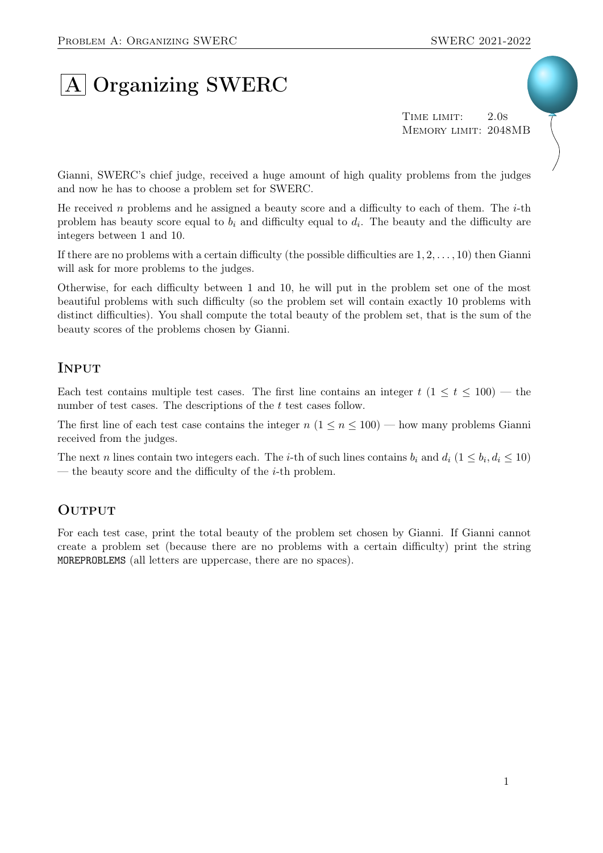# A Organizing SWERC

TIME LIMIT: 2.0s Memory limit: 2048MB

Gianni, SWERC's chief judge, received a huge amount of high quality problems from the judges and now he has to choose a problem set for SWERC.

He received n problems and he assigned a beauty score and a difficulty to each of them. The  $i$ -th problem has beauty score equal to  $b_i$  and difficulty equal to  $d_i$ . The beauty and the difficulty are integers between 1 and 10.

If there are no problems with a certain difficulty (the possible difficulties are  $1, 2, \ldots, 10$ ) then Gianni will ask for more problems to the judges.

Otherwise, for each difficulty between 1 and 10, he will put in the problem set one of the most beautiful problems with such difficulty (so the problem set will contain exactly 10 problems with distinct difficulties). You shall compute the total beauty of the problem set, that is the sum of the beauty scores of the problems chosen by Gianni.

## **INPUT**

Each test contains multiple test cases. The first line contains an integer  $t$  ( $1 \le t \le 100$ ) — the number of test cases. The descriptions of the t test cases follow.

The first line of each test case contains the integer  $n (1 \le n \le 100)$  — how many problems Gianni received from the judges.

The next n lines contain two integers each. The *i*-th of such lines contains  $b_i$  and  $d_i$   $(1 \leq b_i, d_i \leq 10)$ — the beauty score and the difficulty of the  $i$ -th problem.

## **OUTPUT**

For each test case, print the total beauty of the problem set chosen by Gianni. If Gianni cannot create a problem set (because there are no problems with a certain difficulty) print the string MOREPROBLEMS (all letters are uppercase, there are no spaces).